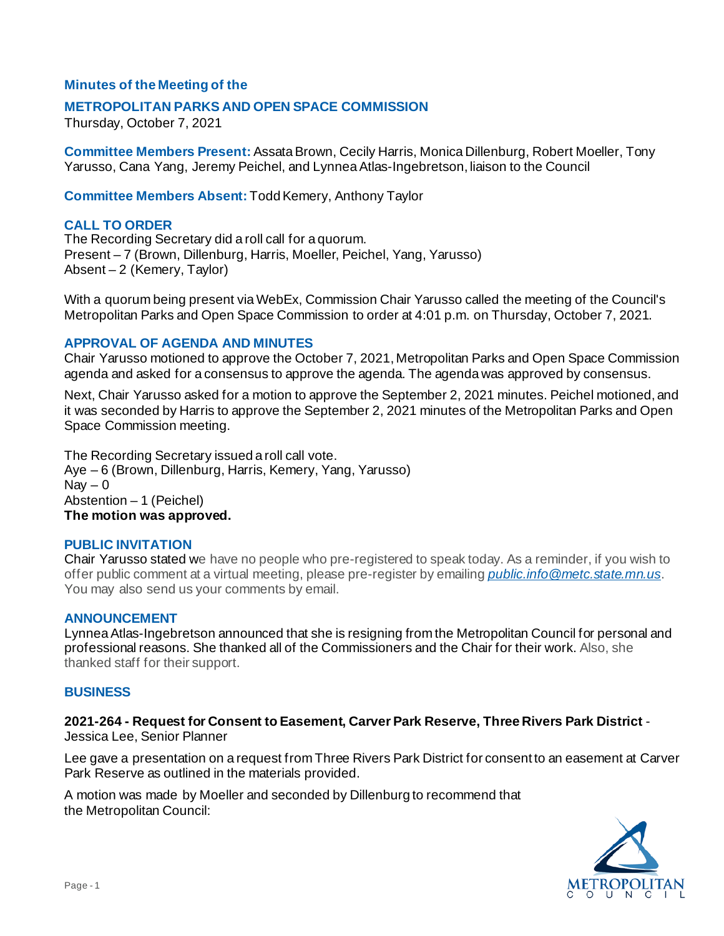## **Minutes of the Meeting of the**

### **METROPOLITAN PARKS AND OPEN SPACE COMMISSION**

Thursday, October 7, 2021

**Committee Members Present:** Assata Brown, Cecily Harris, Monica Dillenburg, Robert Moeller, Tony Yarusso, Cana Yang, Jeremy Peichel, and Lynnea Atlas-Ingebretson, liaison to the Council

**Committee Members Absent:** Todd Kemery, Anthony Taylor

### **CALL TO ORDER**

The Recording Secretary did a roll call for a quorum. Present – 7 (Brown, Dillenburg, Harris, Moeller, Peichel, Yang, Yarusso) Absent – 2 (Kemery, Taylor)

With a quorum being present via WebEx, Commission Chair Yarusso called the meeting of the Council's Metropolitan Parks and Open Space Commission to order at 4:01 p.m. on Thursday, October 7, 2021.

#### **APPROVAL OF AGENDA AND MINUTES**

Chair Yarusso motioned to approve the October 7, 2021, Metropolitan Parks and Open Space Commission agenda and asked for a consensus to approve the agenda. The agenda was approved by consensus.

Next, Chair Yarusso asked for a motion to approve the September 2, 2021 minutes. Peichel motioned, and it was seconded by Harris to approve the September 2, 2021 minutes of the Metropolitan Parks and Open Space Commission meeting.

The Recording Secretary issued a roll call vote. Aye – 6 (Brown, Dillenburg, Harris, Kemery, Yang, Yarusso)  $\text{Nav} - 0$ Abstention – 1 (Peichel) **The motion was approved.**

#### **PUBLIC INVITATION**

Chair Yarusso stated we have no people who pre-registered to speak today. As a reminder, if you wish to offer public comment at a virtual meeting, please pre-register by emailing *[public.info@metc.state.mn.us](mailto:public.info@metc.state.mn.us)*. You may also send us your comments by email.

#### **ANNOUNCEMENT**

Lynnea Atlas-Ingebretson announced that she is resigning from the Metropolitan Council for personal and professional reasons. She thanked all of the Commissioners and the Chair for their work. Also, she thanked staff for their support.

#### **BUSINESS**

**2021-264 - Request for Consent to Easement, Carver Park Reserve, Three Rivers Park District** - Jessica Lee, Senior Planner

Lee gave a presentation on a request from Three Rivers Park District for consent to an easement at Carver Park Reserve as outlined in the materials provided.

A motion was made by Moeller and seconded by Dillenburg to recommend that the Metropolitan Council:

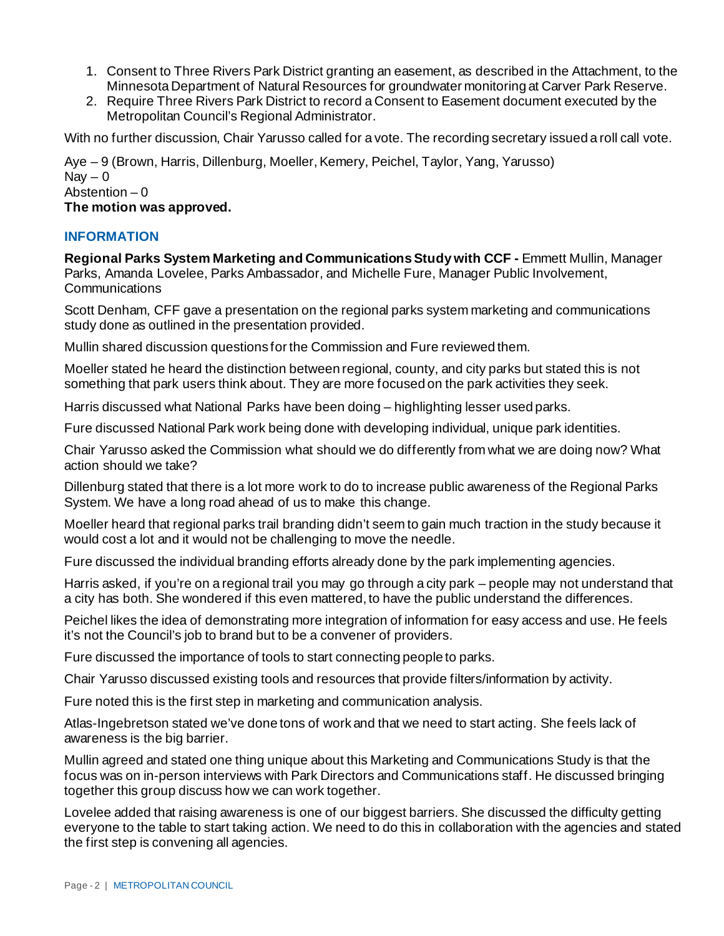- 1. Consent to Three Rivers Park District granting an easement, as described in the Attachment, to the Minnesota Department of Natural Resources for groundwater monitoring at Carver Park Reserve.
- 2. Require Three Rivers Park District to record a Consent to Easement document executed by the Metropolitan Council's Regional Administrator.

With no further discussion, Chair Yarusso called for a vote. The recording secretary issued a roll call vote.

Aye – 9 (Brown, Harris, Dillenburg, Moeller, Kemery, Peichel, Taylor, Yang, Yarusso) Nav  $-0$ Abstention  $-0$ **The motion was approved.**

# **INFORMATION**

**Regional Parks System Marketing and Communications Study with CCF -** Emmett Mullin, Manager Parks, Amanda Lovelee, Parks Ambassador, and Michelle Fure, Manager Public Involvement, **Communications** 

Scott Denham, CFF gave a presentation on the regional parks system marketing and communications study done as outlined in the presentation provided.

Mullin shared discussion questions for the Commission and Fure reviewed them.

Moeller stated he heard the distinction between regional, county, and city parks but stated this is not something that park users think about. They are more focused on the park activities they seek.

Harris discussed what National Parks have been doing – highlighting lesser used parks.

Fure discussed National Park work being done with developing individual, unique park identities.

Chair Yarusso asked the Commission what should we do differently from what we are doing now? What action should we take?

Dillenburg stated that there is a lot more work to do to increase public awareness of the Regional Parks System. We have a long road ahead of us to make this change.

Moeller heard that regional parks trail branding didn't seem to gain much traction in the study because it would cost a lot and it would not be challenging to move the needle.

Fure discussed the individual branding efforts already done by the park implementing agencies.

Harris asked, if you're on a regional trail you may go through a city park – people may not understand that a city has both. She wondered if this even mattered, to have the public understand the differences.

Peichel likes the idea of demonstrating more integration of information for easy access and use. He feels it's not the Council's job to brand but to be a convener of providers.

Fure discussed the importance of tools to start connecting people to parks.

Chair Yarusso discussed existing tools and resources that provide filters/information by activity.

Fure noted this is the first step in marketing and communication analysis.

Atlas-Ingebretson stated we've done tons of work and that we need to start acting. She feels lack of awareness is the big barrier.

Mullin agreed and stated one thing unique about this Marketing and Communications Study is that the focus was on in-person interviews with Park Directors and Communications staff. He discussed bringing together this group discuss how we can work together.

Lovelee added that raising awareness is one of our biggest barriers. She discussed the difficulty getting everyone to the table to start taking action. We need to do this in collaboration with the agencies and stated the first step is convening all agencies.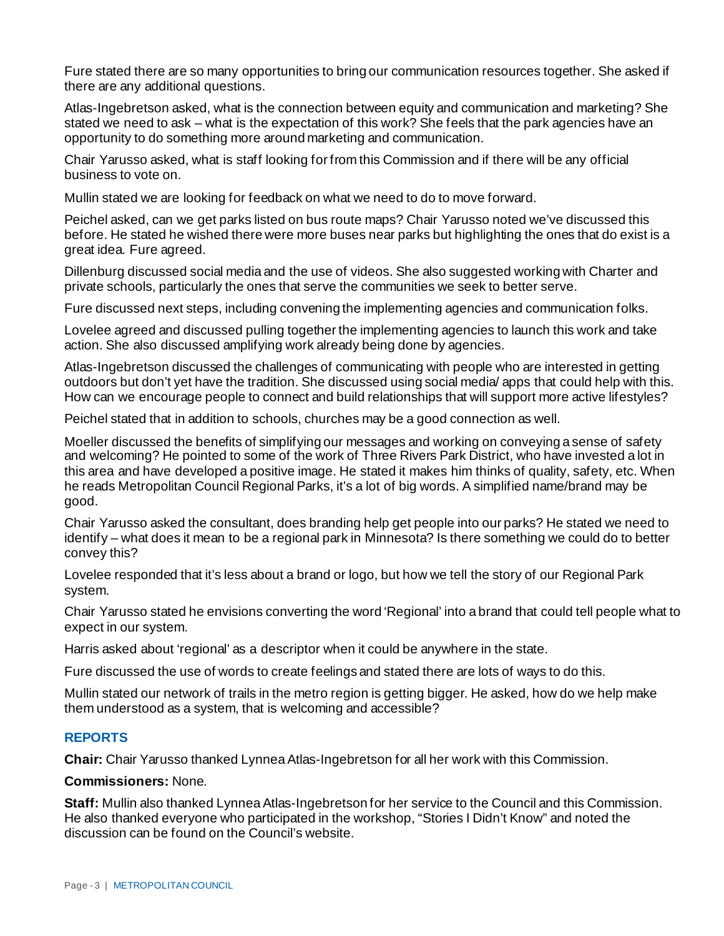Fure stated there are so many opportunities to bring our communication resources together. She asked if there are any additional questions.

Atlas-Ingebretson asked, what is the connection between equity and communication and marketing? She stated we need to ask – what is the expectation of this work? She feels that the park agencies have an opportunity to do something more around marketing and communication.

Chair Yarusso asked, what is staff looking for from this Commission and if there will be any official business to vote on.

Mullin stated we are looking for feedback on what we need to do to move forward.

Peichel asked, can we get parks listed on bus route maps? Chair Yarusso noted we've discussed this before. He stated he wished there were more buses near parks but highlighting the ones that do exist is a great idea. Fure agreed.

Dillenburg discussed social media and the use of videos. She also suggested working with Charter and private schools, particularly the ones that serve the communities we seek to better serve.

Fure discussed next steps, including convening the implementing agencies and communication folks.

Lovelee agreed and discussed pulling together the implementing agencies to launch this work and take action. She also discussed amplifying work already being done by agencies.

Atlas-Ingebretson discussed the challenges of communicating with people who are interested in getting outdoors but don't yet have the tradition. She discussed using social media/ apps that could help with this. How can we encourage people to connect and build relationships that will support more active lifestyles?

Peichel stated that in addition to schools, churches may be a good connection as well.

Moeller discussed the benefits of simplifying our messages and working on conveying a sense of safety and welcoming? He pointed to some of the work of Three Rivers Park District, who have invested a lot in this area and have developed a positive image. He stated it makes him thinks of quality, safety, etc. When he reads Metropolitan Council Regional Parks, it's a lot of big words. A simplified name/brand may be good.

Chair Yarusso asked the consultant, does branding help get people into our parks? He stated we need to identify – what does it mean to be a regional park in Minnesota? Is there something we could do to better convey this?

Lovelee responded that it's less about a brand or logo, but how we tell the story of our Regional Park system.

Chair Yarusso stated he envisions converting the word 'Regional' into a brand that could tell people what to expect in our system.

Harris asked about 'regional' as a descriptor when it could be anywhere in the state.

Fure discussed the use of words to create feelings and stated there are lots of ways to do this.

Mullin stated our network of trails in the metro region is getting bigger. He asked, how do we help make them understood as a system, that is welcoming and accessible?

## **REPORTS**

**Chair:** Chair Yarusso thanked Lynnea Atlas-Ingebretson for all her work with this Commission.

**Commissioners:** None.

**Staff:** Mullin also thanked Lynnea Atlas-Ingebretson for her service to the Council and this Commission. He also thanked everyone who participated in the workshop, "Stories I Didn't Know" and noted the discussion can be found on the Council's website.